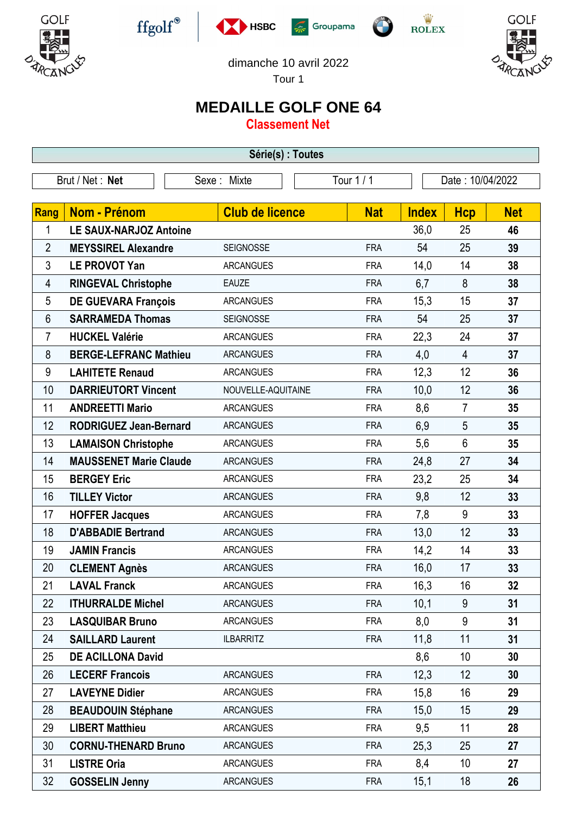











dimanche 10 avril 2022

Tour 1

## **MEDAILLE GOLF ONE 64**

**Classement Net**

| Série(s) : Toutes |                               |                           |            |                  |                |            |  |  |  |  |
|-------------------|-------------------------------|---------------------------|------------|------------------|----------------|------------|--|--|--|--|
| Brut / Net: Net   |                               | Tour 1 / 1<br>Sexe: Mixte |            | Date: 10/04/2022 |                |            |  |  |  |  |
|                   |                               |                           |            |                  |                |            |  |  |  |  |
| Rang              | <b>Nom - Prénom</b>           | <b>Club de licence</b>    | <b>Nat</b> | <b>Index</b>     | <b>Hcp</b>     | <b>Net</b> |  |  |  |  |
| 1                 | <b>LE SAUX-NARJOZ Antoine</b> |                           |            | 36,0             | 25             | 46         |  |  |  |  |
| 2                 | <b>MEYSSIREL Alexandre</b>    | <b>SEIGNOSSE</b>          | <b>FRA</b> | 54               | 25             | 39         |  |  |  |  |
| 3                 | <b>LE PROVOT Yan</b>          | <b>ARCANGUES</b>          | <b>FRA</b> | 14,0             | 14             | 38         |  |  |  |  |
| 4                 | <b>RINGEVAL Christophe</b>    | <b>EAUZE</b>              | <b>FRA</b> | 6,7              | 8              | 38         |  |  |  |  |
| 5                 | <b>DE GUEVARA François</b>    | <b>ARCANGUES</b>          | <b>FRA</b> | 15,3             | 15             | 37         |  |  |  |  |
| 6                 | <b>SARRAMEDA Thomas</b>       | <b>SEIGNOSSE</b>          | <b>FRA</b> | 54               | 25             | 37         |  |  |  |  |
| 7                 | <b>HUCKEL Valérie</b>         | <b>ARCANGUES</b>          | <b>FRA</b> | 22,3             | 24             | 37         |  |  |  |  |
| 8                 | <b>BERGE-LEFRANC Mathieu</b>  | <b>ARCANGUES</b>          | <b>FRA</b> | 4,0              | $\overline{4}$ | 37         |  |  |  |  |
| 9                 | <b>LAHITETE Renaud</b>        | <b>ARCANGUES</b>          | <b>FRA</b> | 12,3             | 12             | 36         |  |  |  |  |
| 10                | <b>DARRIEUTORT Vincent</b>    | NOUVELLE-AQUITAINE        | <b>FRA</b> | 10,0             | 12             | 36         |  |  |  |  |
| 11                | <b>ANDREETTI Mario</b>        | <b>ARCANGUES</b>          | <b>FRA</b> | 8,6              | $\overline{7}$ | 35         |  |  |  |  |
| 12                | <b>RODRIGUEZ Jean-Bernard</b> | <b>ARCANGUES</b>          | <b>FRA</b> | 6,9              | 5              | 35         |  |  |  |  |
| 13                | <b>LAMAISON Christophe</b>    | <b>ARCANGUES</b>          | <b>FRA</b> | 5,6              | $6\phantom{1}$ | 35         |  |  |  |  |
| 14                | <b>MAUSSENET Marie Claude</b> | <b>ARCANGUES</b>          | <b>FRA</b> | 24,8             | 27             | 34         |  |  |  |  |
| 15                | <b>BERGEY Eric</b>            | <b>ARCANGUES</b>          | <b>FRA</b> | 23,2             | 25             | 34         |  |  |  |  |
| 16                | <b>TILLEY Victor</b>          | <b>ARCANGUES</b>          | <b>FRA</b> | 9,8              | 12             | 33         |  |  |  |  |
| 17                | <b>HOFFER Jacques</b>         | <b>ARCANGUES</b>          | <b>FRA</b> | 7,8              | 9              | 33         |  |  |  |  |
| 18                | <b>D'ABBADIE Bertrand</b>     | <b>ARCANGUES</b>          | <b>FRA</b> | 13,0             | 12             | 33         |  |  |  |  |
| 19                | <b>JAMIN Francis</b>          | <b>ARCANGUES</b>          | <b>FRA</b> | 14,2             | 14             | 33         |  |  |  |  |
| 20                | <b>CLEMENT Agnès</b>          | <b>ARCANGUES</b>          | <b>FRA</b> | 16,0             | 17             | 33         |  |  |  |  |
| 21                | <b>LAVAL Franck</b>           | <b>ARCANGUES</b>          | <b>FRA</b> | 16,3             | 16             | 32         |  |  |  |  |
| 22                | <b>ITHURRALDE Michel</b>      | <b>ARCANGUES</b>          | <b>FRA</b> | 10,1             | 9              | 31         |  |  |  |  |
| 23                | <b>LASQUIBAR Bruno</b>        | <b>ARCANGUES</b>          | <b>FRA</b> | 8,0              | 9              | 31         |  |  |  |  |
| 24                | <b>SAILLARD Laurent</b>       | <b>ILBARRITZ</b>          | <b>FRA</b> | 11,8             | 11             | 31         |  |  |  |  |
| 25                | <b>DE ACILLONA David</b>      |                           |            | 8,6              | 10             | 30         |  |  |  |  |
| 26                | <b>LECERF Francois</b>        | <b>ARCANGUES</b>          | <b>FRA</b> | 12,3             | 12             | 30         |  |  |  |  |
| 27                | <b>LAVEYNE Didier</b>         | <b>ARCANGUES</b>          | <b>FRA</b> | 15,8             | 16             | 29         |  |  |  |  |
| 28                | <b>BEAUDOUIN Stéphane</b>     | <b>ARCANGUES</b>          | <b>FRA</b> | 15,0             | 15             | 29         |  |  |  |  |
| 29                | <b>LIBERT Matthieu</b>        | <b>ARCANGUES</b>          | <b>FRA</b> | 9,5              | 11             | 28         |  |  |  |  |
| 30                | <b>CORNU-THENARD Bruno</b>    | <b>ARCANGUES</b>          | <b>FRA</b> | 25,3             | 25             | 27         |  |  |  |  |
| 31                | <b>LISTRE Oria</b>            | <b>ARCANGUES</b>          | <b>FRA</b> | 8,4              | 10             | 27         |  |  |  |  |
| 32                | <b>GOSSELIN Jenny</b>         | <b>ARCANGUES</b>          | <b>FRA</b> | 15,1             | 18             | 26         |  |  |  |  |